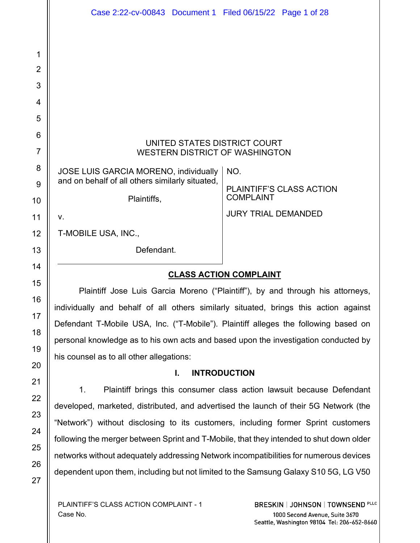|                                                                                         | Case 2:22-cv-00843 Document 1 Filed 06/15/22 Page 1 of 28                                                                                                                       |                                                            |  |
|-----------------------------------------------------------------------------------------|---------------------------------------------------------------------------------------------------------------------------------------------------------------------------------|------------------------------------------------------------|--|
| 1<br>$\overline{2}$<br>3<br>4<br>5<br>6                                                 | UNITED STATES DISTRICT COURT                                                                                                                                                    |                                                            |  |
| $\overline{7}$                                                                          | <b>WESTERN DISTRICT OF WASHINGTON</b>                                                                                                                                           |                                                            |  |
| 8<br>9                                                                                  | JOSE LUIS GARCIA MORENO, individually<br>and on behalf of all others similarly situated,                                                                                        | NO.<br><b>PLAINTIFF'S CLASS ACTION</b><br><b>COMPLAINT</b> |  |
| 10<br>11                                                                                | Plaintiffs,<br>v.                                                                                                                                                               | <b>JURY TRIAL DEMANDED</b>                                 |  |
| 12                                                                                      | T-MOBILE USA, INC.,                                                                                                                                                             |                                                            |  |
| 13                                                                                      | Defendant.                                                                                                                                                                      |                                                            |  |
| 14                                                                                      |                                                                                                                                                                                 |                                                            |  |
| 15                                                                                      | <b>CLASS ACTION COMPLAINT</b><br>Plaintiff Jose Luis Garcia Moreno ("Plaintiff"), by and through his attorneys,                                                                 |                                                            |  |
| 16                                                                                      | individually and behalf of all others similarly situated, brings this action against                                                                                            |                                                            |  |
| 17                                                                                      | Defendant T-Mobile USA, Inc. ("T-Mobile"). Plaintiff alleges the following based on                                                                                             |                                                            |  |
| 18                                                                                      | personal knowledge as to his own acts and based upon the investigation conducted by                                                                                             |                                                            |  |
| 19<br>20                                                                                | his counsel as to all other allegations:                                                                                                                                        |                                                            |  |
| 21                                                                                      | <b>INTRODUCTION</b><br>L.                                                                                                                                                       |                                                            |  |
| 22                                                                                      | Plaintiff brings this consumer class action lawsuit because Defendant<br>1 <sub>1</sub><br>developed, marketed, distributed, and advertised the launch of their 5G Network (the |                                                            |  |
| 23                                                                                      |                                                                                                                                                                                 |                                                            |  |
| "Network") without disclosing to its customers, including former Sprint customers<br>24 |                                                                                                                                                                                 |                                                            |  |
| 25                                                                                      | following the merger between Sprint and T-Mobile, that they intended to shut down older                                                                                         |                                                            |  |
| 26<br>27                                                                                | networks without adequately addressing Network incompatibilities for numerous devices<br>dependent upon them, including but not limited to the Samsung Galaxy S10 5G, LG V50    |                                                            |  |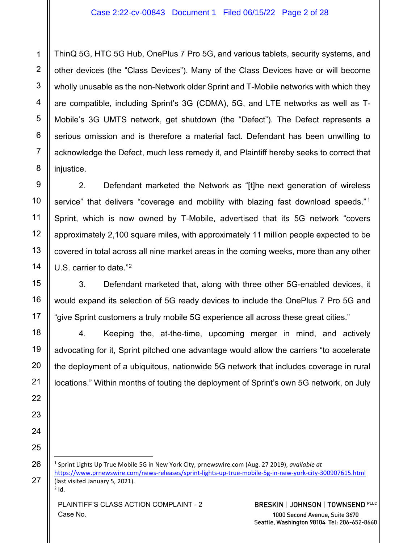#### Case 2:22-cv-00843 Document 1 Filed 06/15/22 Page 2 of 28

ThinQ 5G, HTC 5G Hub, OnePlus 7 Pro 5G, and various tablets, security systems, and other devices (the "Class Devices"). Many of the Class Devices have or will become wholly unusable as the non-Network older Sprint and T-Mobile networks with which they are compatible, including Sprint's 3G (CDMA), 5G, and LTE networks as well as T-Mobile's 3G UMTS network, get shutdown (the "Defect"). The Defect represents a serious omission and is therefore a material fact. Defendant has been unwilling to acknowledge the Defect, much less remedy it, and Plaintiff hereby seeks to correct that injustice.

2. Defendant marketed the Network as "[t]he next generation of wireless service" that delivers "coverage and mobility with blazing fast download speeds."<sup>1</sup> Sprint, which is now owned by T-Mobile, advertised that its 5G network "covers approximately 2,100 square miles, with approximately 11 million people expected to be covered in total across all nine market areas in the coming weeks, more than any other U.S. carrier to date."<sup>2</sup>

3. Defendant marketed that, along with three other 5G-enabled devices, it would expand its selection of 5G ready devices to include the OnePlus 7 Pro 5G and "give Sprint customers a truly mobile 5G experience all across these great cities."

4. Keeping the, at-the-time, upcoming merger in mind, and actively advocating for it, Sprint pitched one advantage would allow the carriers "to accelerate the deployment of a ubiquitous, nationwide 5G network that includes coverage in rural locations." Within months of touting the deployment of Sprint's own 5G network, on July

<sup>1</sup> Sprint Lights Up True Mobile 5G in New York City, prnewswire.com (Aug. 27 2019), *available at* https://www.prnewswire.com/news-releases/sprint-lights-up-true-mobile-5g-in-new-york-city-300907615.html (last visited January 5, 2021).

 $2$  Id.

1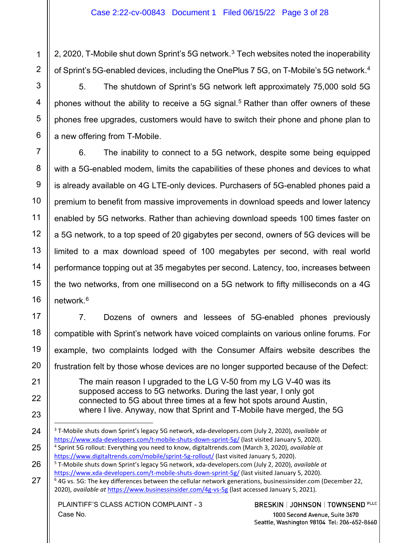2, 2020, T-Mobile shut down Sprint's 5G network.<sup>3</sup> Tech websites noted the inoperability of Sprint's 5G-enabled devices, including the OnePlus 7 5G, on T-Mobile's 5G network.<sup>4</sup>

5. The shutdown of Sprint's 5G network left approximately 75,000 sold 5G phones without the ability to receive a 5G signal.<sup>5</sup> Rather than offer owners of these phones free upgrades, customers would have to switch their phone and phone plan to a new offering from T-Mobile.

6. The inability to connect to a 5G network, despite some being equipped with a 5G-enabled modem, limits the capabilities of these phones and devices to what is already available on 4G LTE-only devices. Purchasers of 5G-enabled phones paid a premium to benefit from massive improvements in download speeds and lower latency enabled by 5G networks. Rather than achieving download speeds 100 times faster on a 5G network, to a top speed of 20 gigabytes per second, owners of 5G devices will be limited to a max download speed of 100 megabytes per second, with real world performance topping out at 35 megabytes per second. Latency, too, increases between the two networks, from one millisecond on a 5G network to fifty milliseconds on a 4G network <sup>6</sup>

7. Dozens of owners and lessees of 5G-enabled phones previously compatible with Sprint's network have voiced complaints on various online forums. For example, two complaints lodged with the Consumer Affairs website describes the frustration felt by those whose devices are no longer supported because of the Defect: The main reason I upgraded to the LG V-50 from my LG V-40 was its

supposed access to 5G networks. During the last year, I only got connected to 5G about three times at a few hot spots around Austin, where I live. Anyway, now that Sprint and T-Mobile have merged, the 5G

PLAINTIFF'S CLASS ACTION COMPLAINT - 3 Case No.

BRESKIN | JOHNSON | TOWNSEND PLLC

<sup>3</sup> T-Mobile shuts down Sprint's legacy 5G network, xda-developers.com (July 2, 2020), *available at*  https://www.xda-developers.com/t-mobile-shuts-down-sprint-5g/ (last visited January 5, 2020). <sup>4</sup> Sprint 5G rollout: Everything you need to know, digitaltrends.com (March 3, 2020), *available at*  https://www.digitaltrends.com/mobile/sprint-5g-rollout/ (last visited January 5, 2020).

<sup>5</sup> T-Mobile shuts down Sprint's legacy 5G network, xda-developers.com (July 2, 2020), *available at*  https://www.xda-developers.com/t-mobile-shuts-down-sprint-5g/ (last visited January 5, 2020).

<sup>6</sup> 4G vs. 5G: The key differences between the cellular network generations, businessinsider.com (December 22, 2020), *available at* https://www.businessinsider.com/4g-vs-5g (last accessed January 5, 2021).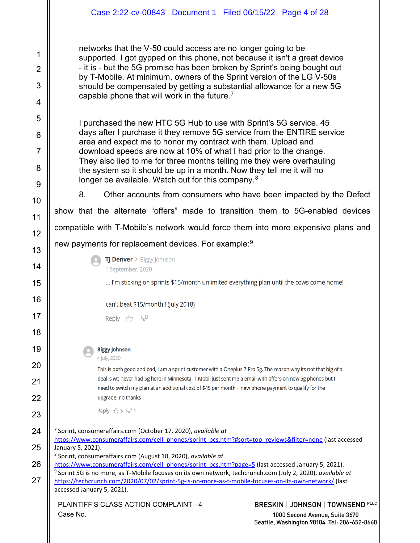networks that the V-50 could access are no longer going to be supported. I got gypped on this phone, not because it isn't a great device - it is - but the 5G promise has been broken by Sprint's being bought out by T-Mobile. At minimum, owners of the Sprint version of the LG V-50s should be compensated by getting a substantial allowance for a new 5G capable phone that will work in the future.<sup>7</sup>

I purchased the new HTC 5G Hub to use with Sprint's 5G service. 45 days after I purchase it they remove 5G service from the ENTIRE service area and expect me to honor my contract with them. Upload and download speeds are now at 10% of what I had prior to the change. They also lied to me for three months telling me they were overhauling the system so it should be up in a month. Now they tell me it will no longer be available. Watch out for this company.<sup>8</sup>

8. Other accounts from consumers who have been impacted by the Defect show that the alternate "offers" made to transition them to 5G-enabled devices compatible with T-Mobile's network would force them into more expensive plans and

new payments for replacement devices. For example:<sup>9</sup>

TJ Denver > Biggy Johnson

1 September, 2020

1

 $\overline{2}$ 

3

4

5

6

7

8

9

10

11

12

13

14

15

16

17

18

19

20

21

22

23

24

| I'm sticking on sprints \$15/month unlimited everything plan until the cows come home! |  |
|----------------------------------------------------------------------------------------|--|
|                                                                                        |  |

can't beat \$15/month!! (July 2018)

| Reply |  |  |
|-------|--|--|
|-------|--|--|

#### **Biggy Johnson**

4 July, 2020

This is both good and bad, I am a sprint customer with a Oneplus 7 Pro 5g. The reason why its not that big of a deal is we never had 5g here in Minnesota. T-Mobil just sent me a email with offers on new 5g phones but I need to switch my plan at an additional cost of \$45 per month + new phone payment to qualify for the upgrade, no thanks

Reply 凸5 41

- <sup>7</sup> Sprint, consumeraffairs.com (October 17, 2020), *available at*
- 25 https://www.consumeraffairs.com/cell\_phones/sprint\_pcs.htm?#sort=top\_reviews&filter=none (last accessed January 5, 2021).

<sup>8</sup> Sprint, consumeraffairs.com (August 10, 2020), *available at* 

26 27 https://www.consumeraffairs.com/cell\_phones/sprint\_pcs.htm?page=5 (last accessed January 5, 2021). <sup>9</sup> Sprint 5G is no more, as T-Mobile focuses on its own network, techcrunch.com (July 2, 2020), *available at*  https://techcrunch.com/2020/07/02/sprint-5g-is-no-more-as-t-mobile-focuses-on-its-own-network/ (last accessed January 5, 2021).

PLAINTIFF'S CLASS ACTION COMPLAINT - 4 Case No.

BRESKIN | JOHNSON | TOWNSEND PLLC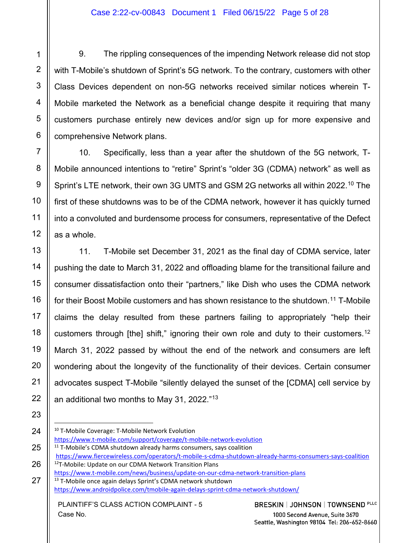9. The rippling consequences of the impending Network release did not stop with T-Mobile's shutdown of Sprint's 5G network. To the contrary, customers with other Class Devices dependent on non-5G networks received similar notices wherein T-Mobile marketed the Network as a beneficial change despite it requiring that many customers purchase entirely new devices and/or sign up for more expensive and comprehensive Network plans.

10. Specifically, less than a year after the shutdown of the 5G network, T-Mobile announced intentions to "retire" Sprint's "older 3G (CDMA) network" as well as Sprint's LTE network, their own 3G UMTS and GSM 2G networks all within 2022.<sup>10</sup> The first of these shutdowns was to be of the CDMA network, however it has quickly turned into a convoluted and burdensome process for consumers, representative of the Defect as a whole.

11. T-Mobile set December 31, 2021 as the final day of CDMA service, later pushing the date to March 31, 2022 and offloading blame for the transitional failure and consumer dissatisfaction onto their "partners," like Dish who uses the CDMA network for their Boost Mobile customers and has shown resistance to the shutdown.<sup>11</sup> T-Mobile claims the delay resulted from these partners failing to appropriately "help their customers through [the] shift," ignoring their own role and duty to their customers.<sup>12</sup> March 31, 2022 passed by without the end of the network and consumers are left wondering about the longevity of the functionality of their devices. Certain consumer advocates suspect T-Mobile "silently delayed the sunset of the [CDMA] cell service by an additional two months to May 31, 2022."13

PLAINTIFF'S CLASS ACTION COMPLAINT - 5 Case No.

**BRESKIN | JOHNSON | TOWNSEND PLLC** 

<sup>&</sup>lt;sup>10</sup> T-Mobile Coverage: T-Mobile Network Evolution https://www.t-mobile.com/support/coverage/t-mobile-network-evolution  $11$  T-Mobile's CDMA shutdown already harms consumers, says coalition https://www.fiercewireless.com/operators/t-mobile-s-cdma-shutdown-already-harms-consumers-says-coalition

<sup>&</sup>lt;sup>12</sup>T-Mobile: Update on our CDMA Network Transition Plans https://www.t-mobile.com/news/business/update-on-our-cdma-network-transition-plans

<sup>&</sup>lt;sup>13</sup> T-Mobile once again delays Sprint's CDMA network shutdown https://www.androidpolice.com/tmobile-again-delays-sprint-cdma-network-shutdown/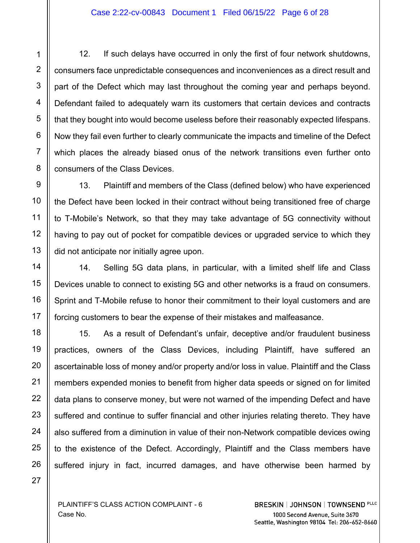12. If such delays have occurred in only the first of four network shutdowns, consumers face unpredictable consequences and inconveniences as a direct result and part of the Defect which may last throughout the coming year and perhaps beyond. Defendant failed to adequately warn its customers that certain devices and contracts that they bought into would become useless before their reasonably expected lifespans. Now they fail even further to clearly communicate the impacts and timeline of the Defect which places the already biased onus of the network transitions even further onto consumers of the Class Devices.

13. Plaintiff and members of the Class (defined below) who have experienced the Defect have been locked in their contract without being transitioned free of charge to T-Mobile's Network, so that they may take advantage of 5G connectivity without having to pay out of pocket for compatible devices or upgraded service to which they did not anticipate nor initially agree upon.

14. Selling 5G data plans, in particular, with a limited shelf life and Class Devices unable to connect to existing 5G and other networks is a fraud on consumers. Sprint and T-Mobile refuse to honor their commitment to their loyal customers and are forcing customers to bear the expense of their mistakes and malfeasance.

15. As a result of Defendant's unfair, deceptive and/or fraudulent business practices, owners of the Class Devices, including Plaintiff, have suffered an ascertainable loss of money and/or property and/or loss in value. Plaintiff and the Class members expended monies to benefit from higher data speeds or signed on for limited data plans to conserve money, but were not warned of the impending Defect and have suffered and continue to suffer financial and other injuries relating thereto. They have also suffered from a diminution in value of their non-Network compatible devices owing to the existence of the Defect. Accordingly, Plaintiff and the Class members have suffered injury in fact, incurred damages, and have otherwise been harmed by

1

 $\overline{2}$ 

PLAINTIFF'S CLASS ACTION COMPLAINT - 6 Case No.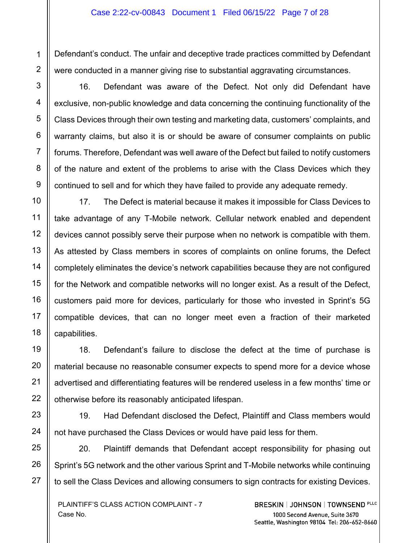#### Case 2:22-cv-00843 Document 1 Filed 06/15/22 Page 7 of 28

Defendant's conduct. The unfair and deceptive trade practices committed by Defendant were conducted in a manner giving rise to substantial aggravating circumstances.

16. Defendant was aware of the Defect. Not only did Defendant have exclusive, non-public knowledge and data concerning the continuing functionality of the Class Devices through their own testing and marketing data, customers' complaints, and warranty claims, but also it is or should be aware of consumer complaints on public forums. Therefore, Defendant was well aware of the Defect but failed to notify customers of the nature and extent of the problems to arise with the Class Devices which they continued to sell and for which they have failed to provide any adequate remedy.

17. The Defect is material because it makes it impossible for Class Devices to take advantage of any T-Mobile network. Cellular network enabled and dependent devices cannot possibly serve their purpose when no network is compatible with them. As attested by Class members in scores of complaints on online forums, the Defect completely eliminates the device's network capabilities because they are not configured for the Network and compatible networks will no longer exist. As a result of the Defect, customers paid more for devices, particularly for those who invested in Sprint's 5G compatible devices, that can no longer meet even a fraction of their marketed capabilities.

18. Defendant's failure to disclose the defect at the time of purchase is material because no reasonable consumer expects to spend more for a device whose advertised and differentiating features will be rendered useless in a few months' time or otherwise before its reasonably anticipated lifespan.

19. Had Defendant disclosed the Defect, Plaintiff and Class members would not have purchased the Class Devices or would have paid less for them.

20. Plaintiff demands that Defendant accept responsibility for phasing out Sprint's 5G network and the other various Sprint and T-Mobile networks while continuing to sell the Class Devices and allowing consumers to sign contracts for existing Devices.

PLAINTIFF'S CLASS ACTION COMPLAINT - 7 Case No.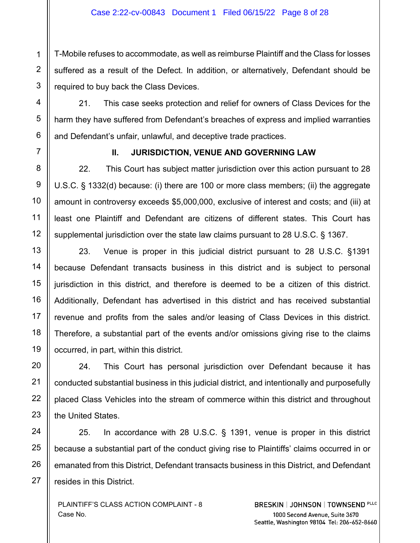T-Mobile refuses to accommodate, as well as reimburse Plaintiff and the Class for losses suffered as a result of the Defect. In addition, or alternatively, Defendant should be required to buy back the Class Devices.

21. This case seeks protection and relief for owners of Class Devices for the harm they have suffered from Defendant's breaches of express and implied warranties and Defendant's unfair, unlawful, and deceptive trade practices.

## **II. JURISDICTION, VENUE AND GOVERNING LAW**

22. This Court has subject matter jurisdiction over this action pursuant to 28 U.S.C. § 1332(d) because: (i) there are 100 or more class members; (ii) the aggregate amount in controversy exceeds \$5,000,000, exclusive of interest and costs; and (iii) at least one Plaintiff and Defendant are citizens of different states. This Court has supplemental jurisdiction over the state law claims pursuant to 28 U.S.C. § 1367.

23. Venue is proper in this judicial district pursuant to 28 U.S.C. §1391 because Defendant transacts business in this district and is subject to personal jurisdiction in this district, and therefore is deemed to be a citizen of this district. Additionally, Defendant has advertised in this district and has received substantial revenue and profits from the sales and/or leasing of Class Devices in this district. Therefore, a substantial part of the events and/or omissions giving rise to the claims occurred, in part, within this district.

24. This Court has personal jurisdiction over Defendant because it has conducted substantial business in this judicial district, and intentionally and purposefully placed Class Vehicles into the stream of commerce within this district and throughout the United States.

25. In accordance with 28 U.S.C. § 1391, venue is proper in this district because a substantial part of the conduct giving rise to Plaintiffs' claims occurred in or emanated from this District, Defendant transacts business in this District, and Defendant resides in this District.

PLAINTIFF'S CLASS ACTION COMPLAINT - 8 Case No.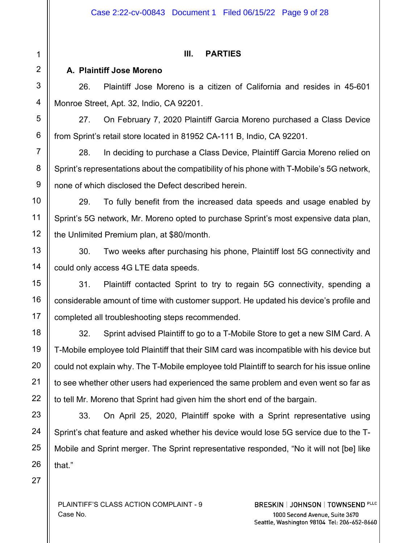# **III. PARTIES**

# **A. Plaintiff Jose Moreno**

26. Plaintiff Jose Moreno is a citizen of California and resides in 45-601 Monroe Street, Apt. 32, Indio, CA 92201.

27. On February 7, 2020 Plaintiff Garcia Moreno purchased a Class Device from Sprint's retail store located in 81952 CA-111 B, Indio, CA 92201.

28. In deciding to purchase a Class Device, Plaintiff Garcia Moreno relied on Sprint's representations about the compatibility of his phone with T-Mobile's 5G network, none of which disclosed the Defect described herein.

29. To fully benefit from the increased data speeds and usage enabled by Sprint's 5G network, Mr. Moreno opted to purchase Sprint's most expensive data plan, the Unlimited Premium plan, at \$80/month.

30. Two weeks after purchasing his phone, Plaintiff lost 5G connectivity and could only access 4G LTE data speeds.

31. Plaintiff contacted Sprint to try to regain 5G connectivity, spending a considerable amount of time with customer support. He updated his device's profile and completed all troubleshooting steps recommended.

32. Sprint advised Plaintiff to go to a T-Mobile Store to get a new SIM Card. A T-Mobile employee told Plaintiff that their SIM card was incompatible with his device but could not explain why. The T-Mobile employee told Plaintiff to search for his issue online to see whether other users had experienced the same problem and even went so far as to tell Mr. Moreno that Sprint had given him the short end of the bargain.

33. On April 25, 2020, Plaintiff spoke with a Sprint representative using Sprint's chat feature and asked whether his device would lose 5G service due to the T-Mobile and Sprint merger. The Sprint representative responded, "No it will not [be] like that"

PLAINTIFF'S CLASS ACTION COMPLAINT - 9 Case No.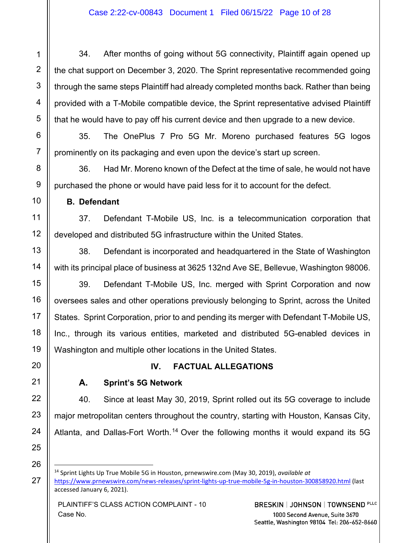34. After months of going without 5G connectivity, Plaintiff again opened up the chat support on December 3, 2020. The Sprint representative recommended going through the same steps Plaintiff had already completed months back. Rather than being provided with a T-Mobile compatible device, the Sprint representative advised Plaintiff that he would have to pay off his current device and then upgrade to a new device.

35. The OnePlus 7 Pro 5G Mr. Moreno purchased features 5G logos prominently on its packaging and even upon the device's start up screen.

36. Had Mr. Moreno known of the Defect at the time of sale, he would not have purchased the phone or would have paid less for it to account for the defect.

**B. Defendant**

37. Defendant T-Mobile US, Inc. is a telecommunication corporation that developed and distributed 5G infrastructure within the United States.

38. Defendant is incorporated and headquartered in the State of Washington with its principal place of business at 3625 132nd Ave SE, Bellevue, Washington 98006.

39. Defendant T-Mobile US, Inc. merged with Sprint Corporation and now oversees sales and other operations previously belonging to Sprint, across the United States. Sprint Corporation, prior to and pending its merger with Defendant T-Mobile US, Inc., through its various entities, marketed and distributed 5G-enabled devices in Washington and multiple other locations in the United States.

# **IV. FACTUAL ALLEGATIONS**

# **A. Sprint's 5G Network**

40. Since at least May 30, 2019, Sprint rolled out its 5G coverage to include major metropolitan centers throughout the country, starting with Houston, Kansas City, Atlanta, and Dallas-Fort Worth.<sup>14</sup> Over the following months it would expand its 5G

<sup>14</sup> Sprint Lights Up True Mobile 5G in Houston, prnewswire.com (May 30, 2019), *available at* https://www.prnewswire.com/news-releases/sprint-lights-up-true-mobile-5g-in-houston-300858920.html (last accessed January 6, 2021).

PLAINTIFF'S CLASS ACTION COMPLAINT - 10 Case No.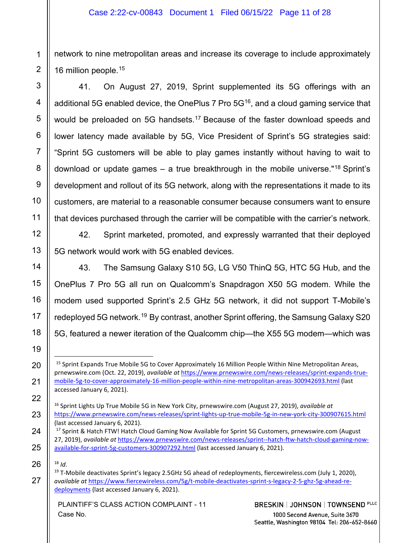network to nine metropolitan areas and increase its coverage to include approximately 16 million people.<sup>15</sup>

41. On August 27, 2019, Sprint supplemented its 5G offerings with an additional 5G enabled device, the OnePlus 7 Pro  $5G^{16}$ , and a cloud gaming service that would be preloaded on 5G handsets.<sup>17</sup> Because of the faster download speeds and lower latency made available by 5G, Vice President of Sprint's 5G strategies said: "Sprint 5G customers will be able to play games instantly without having to wait to download or update games – a true breakthrough in the mobile universe."<sup>18</sup> Sprint's development and rollout of its 5G network, along with the representations it made to its customers, are material to a reasonable consumer because consumers want to ensure that devices purchased through the carrier will be compatible with the carrier's network.

42. Sprint marketed, promoted, and expressly warranted that their deployed 5G network would work with 5G enabled devices.

43. The Samsung Galaxy S10 5G, LG V50 ThinQ 5G, HTC 5G Hub, and the OnePlus 7 Pro 5G all run on Qualcomm's Snapdragon X50 5G modem. While the modem used supported Sprint's 2.5 GHz 5G network, it did not support T-Mobile's redeployed 5G network.<sup>19</sup> By contrast, another Sprint offering, the Samsung Galaxy S20 5G, featured a newer iteration of the Qualcomm chip—the X55 5G modem—which was

PLAINTIFF'S CLASS ACTION COMPLAINT - 11 Case No.

<sup>&</sup>lt;sup>15</sup> Sprint Expands True Mobile 5G to Cover Approximately 16 Million People Within Nine Metropolitan Areas, prnewswire.com (Oct. 22, 2019), *available at* https://www.prnewswire.com/news-releases/sprint-expands-truemobile-5g-to-cover-approximately-16-million-people-within-nine-metropolitan-areas-300942693.html (last accessed January 6, 2021).

<sup>16</sup> Sprint Lights Up True Mobile 5G in New York City, prnewswire.com (August 27, 2019), *available at* https://www.prnewswire.com/news-releases/sprint-lights-up-true-mobile-5g-in-new-york-city-300907615.html (last accessed January 6, 2021).

<sup>17</sup> Sprint & Hatch FTW! Hatch Cloud Gaming Now Available for Sprint 5G Customers, prnewswire.com (August 27, 2019), *available at* https://www.prnewswire.com/news-releases/sprint--hatch-ftw-hatch-cloud-gaming-nowavailable-for-sprint-5g-customers-300907292.html (last accessed January 6, 2021).

<sup>&</sup>lt;sup>18</sup> *Id.*<br><sup>19</sup> T-Mobile deactivates Sprint's legacy 2.5GHz 5G ahead of redeployments, fiercewireless.com (July 1, 2020), *available at* https://www.fiercewireless.com/5g/t-mobile-deactivates-sprint-s-legacy-2-5-ghz-5g-ahead-redeployments (last accessed January 6, 2021).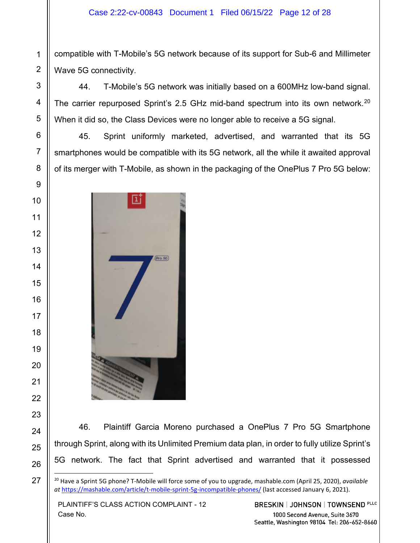compatible with T-Mobile's 5G network because of its support for Sub-6 and Millimeter Wave 5G connectivity.

44. T-Mobile's 5G network was initially based on a 600MHz low-band signal. The carrier repurposed Sprint's 2.5 GHz mid-band spectrum into its own network.<sup>20</sup> When it did so, the Class Devices were no longer able to receive a 5G signal.

45. Sprint uniformly marketed, advertised, and warranted that its 5G smartphones would be compatible with its 5G network, all the while it awaited approval of its merger with T-Mobile, as shown in the packaging of the OnePlus 7 Pro 5G below:



46. Plaintiff Garcia Moreno purchased a OnePlus 7 Pro 5G Smartphone through Sprint, along with its Unlimited Premium data plan, in order to fully utilize Sprint's 5G network. The fact that Sprint advertised and warranted that it possessed

<sup>20</sup> Have a Sprint 5G phone? T-Mobile will force some of you to upgrade, mashable.com (April 25, 2020), *available at* https://mashable.com/article/t-mobile-sprint-5g-incompatible-phones/ (last accessed January 6, 2021).

PLAINTIFF'S CLASS ACTION COMPLAINT - 12 Case No.

BRESKIN | JOHNSON | TOWNSEND PLLC 1000 Second Avenue, Suite 3670 Seattle, Washington 98104 Tel: 206-652-8660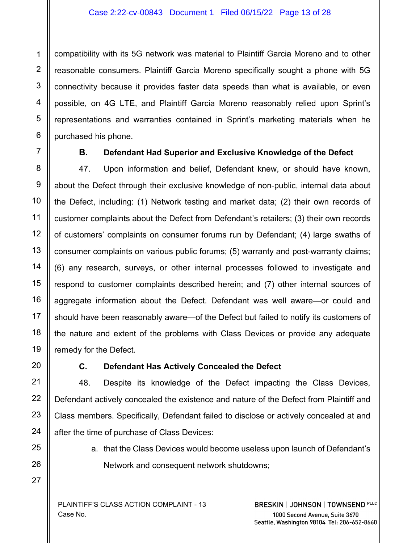compatibility with its 5G network was material to Plaintiff Garcia Moreno and to other reasonable consumers. Plaintiff Garcia Moreno specifically sought a phone with 5G connectivity because it provides faster data speeds than what is available, or even possible, on 4G LTE, and Plaintiff Garcia Moreno reasonably relied upon Sprint's representations and warranties contained in Sprint's marketing materials when he purchased his phone.

## **B. Defendant Had Superior and Exclusive Knowledge of the Defect**

47. Upon information and belief, Defendant knew, or should have known, about the Defect through their exclusive knowledge of non-public, internal data about the Defect, including: (1) Network testing and market data; (2) their own records of customer complaints about the Defect from Defendant's retailers; (3) their own records of customers' complaints on consumer forums run by Defendant; (4) large swaths of consumer complaints on various public forums; (5) warranty and post-warranty claims; (6) any research, surveys, or other internal processes followed to investigate and respond to customer complaints described herein; and (7) other internal sources of aggregate information about the Defect. Defendant was well aware—or could and should have been reasonably aware—of the Defect but failed to notify its customers of the nature and extent of the problems with Class Devices or provide any adequate remedy for the Defect.

# **C. Defendant Has Actively Concealed the Defect**

48. Despite its knowledge of the Defect impacting the Class Devices, Defendant actively concealed the existence and nature of the Defect from Plaintiff and Class members. Specifically, Defendant failed to disclose or actively concealed at and after the time of purchase of Class Devices:

a. that the Class Devices would become useless upon launch of Defendant's Network and consequent network shutdowns;

PLAINTIFF'S CLASS ACTION COMPLAINT - 13 Case No.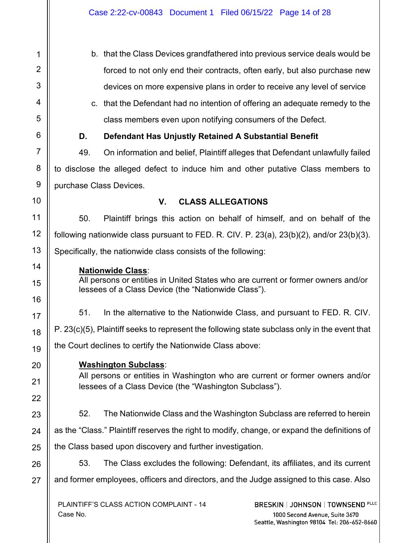b. that the Class Devices grandfathered into previous service deals would be 1  $\overline{2}$ forced to not only end their contracts, often early, but also purchase new 3 devices on more expensive plans in order to receive any level of service 4 c. that the Defendant had no intention of offering an adequate remedy to the 5 class members even upon notifying consumers of the Defect. 6 **D. Defendant Has Unjustly Retained A Substantial Benefit** 7 49. On information and belief, Plaintiff alleges that Defendant unlawfully failed 8 to disclose the alleged defect to induce him and other putative Class members to 9 purchase Class Devices. 10 **V. CLASS ALLEGATIONS** 11 50. Plaintiff brings this action on behalf of himself, and on behalf of the 12 following nationwide class pursuant to FED. R. CIV. P. 23(a), 23(b)(2), and/or 23(b)(3). 13 Specifically, the nationwide class consists of the following: 14 **Nationwide Class**: All persons or entities in United States who are current or former owners and/or 15 lessees of a Class Device (the "Nationwide Class"). 16 51. In the alternative to the Nationwide Class, and pursuant to FED. R. CIV. 17 P. 23(c)(5), Plaintiff seeks to represent the following state subclass only in the event that 18 the Court declines to certify the Nationwide Class above: 19 20 **Washington Subclass**: All persons or entities in Washington who are current or former owners and/or 21 lessees of a Class Device (the "Washington Subclass"). 22 52. The Nationwide Class and the Washington Subclass are referred to herein 23 as the "Class." Plaintiff reserves the right to modify, change, or expand the definitions of 24 25 the Class based upon discovery and further investigation. 53. The Class excludes the following: Defendant, its affiliates, and its current 26 and former employees, officers and directors, and the Judge assigned to this case. Also 27 PLAINTIFF'S CLASS ACTION COMPLAINT - 14 **BRESKIN | JOHNSON | TOWNSEND PLLC** 

Case No.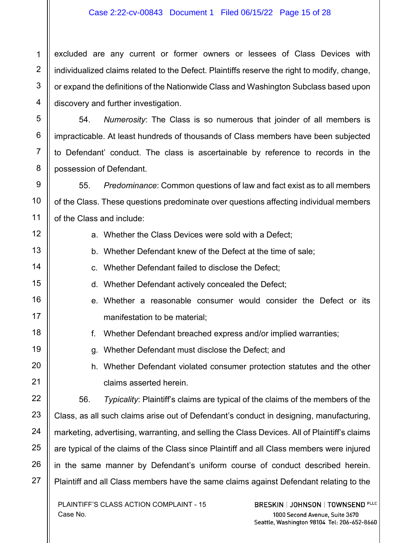#### Case 2:22-cv-00843 Document 1 Filed 06/15/22 Page 15 of 28

excluded are any current or former owners or lessees of Class Devices with individualized claims related to the Defect. Plaintiffs reserve the right to modify, change, or expand the definitions of the Nationwide Class and Washington Subclass based upon discovery and further investigation.

54. *Numerosity*: The Class is so numerous that joinder of all members is impracticable. At least hundreds of thousands of Class members have been subjected to Defendant' conduct. The class is ascertainable by reference to records in the possession of Defendant.

55. *Predominance*: Common questions of law and fact exist as to all members of the Class. These questions predominate over questions affecting individual members of the Class and include:

- a. Whether the Class Devices were sold with a Defect;
- b. Whether Defendant knew of the Defect at the time of sale;
- c. Whether Defendant failed to disclose the Defect;
- d. Whether Defendant actively concealed the Defect;
- e. Whether a reasonable consumer would consider the Defect or its manifestation to be material;
	- f. Whether Defendant breached express and/or implied warranties;
	- g. Whether Defendant must disclose the Defect; and
	- h. Whether Defendant violated consumer protection statutes and the other claims asserted herein.

56. *Typicality*: Plaintiff's claims are typical of the claims of the members of the Class, as all such claims arise out of Defendant's conduct in designing, manufacturing, marketing, advertising, warranting, and selling the Class Devices. All of Plaintiff's claims are typical of the claims of the Class since Plaintiff and all Class members were injured in the same manner by Defendant's uniform course of conduct described herein. Plaintiff and all Class members have the same claims against Defendant relating to the

PLAINTIFF'S CLASS ACTION COMPLAINT - 15 Case No.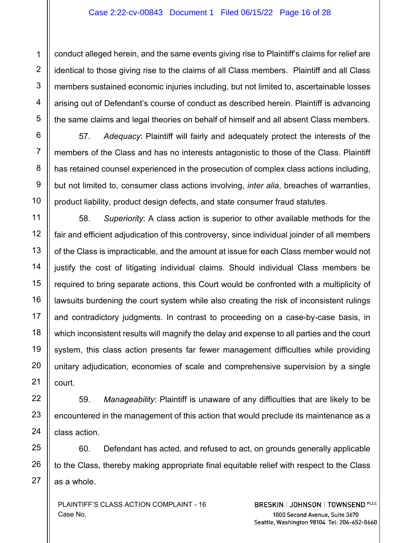#### Case 2:22-cv-00843 Document 1 Filed 06/15/22 Page 16 of 28

conduct alleged herein, and the same events giving rise to Plaintiff's claims for relief are identical to those giving rise to the claims of all Class members. Plaintiff and all Class members sustained economic injuries including, but not limited to, ascertainable losses arising out of Defendant's course of conduct as described herein. Plaintiff is advancing the same claims and legal theories on behalf of himself and all absent Class members.

57. *Adequacy*: Plaintiff will fairly and adequately protect the interests of the members of the Class and has no interests antagonistic to those of the Class. Plaintiff has retained counsel experienced in the prosecution of complex class actions including, but not limited to, consumer class actions involving, *inter alia*, breaches of warranties, product liability, product design defects, and state consumer fraud statutes.

58. *Superiority*: A class action is superior to other available methods for the fair and efficient adjudication of this controversy, since individual joinder of all members of the Class is impracticable, and the amount at issue for each Class member would not justify the cost of litigating individual claims. Should individual Class members be required to bring separate actions, this Court would be confronted with a multiplicity of lawsuits burdening the court system while also creating the risk of inconsistent rulings and contradictory judgments. In contrast to proceeding on a case-by-case basis, in which inconsistent results will magnify the delay and expense to all parties and the court system, this class action presents far fewer management difficulties while providing unitary adjudication, economies of scale and comprehensive supervision by a single court.

59. *Manageability*: Plaintiff is unaware of any difficulties that are likely to be encountered in the management of this action that would preclude its maintenance as a class action.

60. Defendant has acted, and refused to act, on grounds generally applicable to the Class, thereby making appropriate final equitable relief with respect to the Class as a whole.

PLAINTIFF'S CLASS ACTION COMPLAINT - 16 Case No.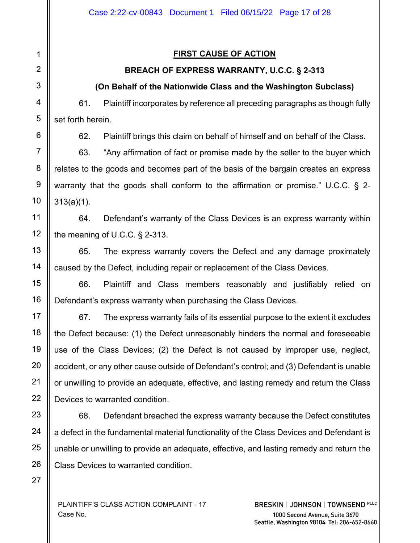**FIRST CAUSE OF ACTION**

# **BREACH OF EXPRESS WARRANTY, U.C.C. § 2-313**

# **(On Behalf of the Nationwide Class and the Washington Subclass)**

61. Plaintiff incorporates by reference all preceding paragraphs as though fully set forth herein.

62. Plaintiff brings this claim on behalf of himself and on behalf of the Class.

63. "Any affirmation of fact or promise made by the seller to the buyer which relates to the goods and becomes part of the basis of the bargain creates an express warranty that the goods shall conform to the affirmation or promise." U.C.C. § 2- 313(a)(1).

64. Defendant's warranty of the Class Devices is an express warranty within the meaning of U.C.C. § 2-313.

65. The express warranty covers the Defect and any damage proximately caused by the Defect, including repair or replacement of the Class Devices.

66. Plaintiff and Class members reasonably and justifiably relied on Defendant's express warranty when purchasing the Class Devices.

67. The express warranty fails of its essential purpose to the extent it excludes the Defect because: (1) the Defect unreasonably hinders the normal and foreseeable use of the Class Devices; (2) the Defect is not caused by improper use, neglect, accident, or any other cause outside of Defendant's control; and (3) Defendant is unable or unwilling to provide an adequate, effective, and lasting remedy and return the Class Devices to warranted condition.

68. Defendant breached the express warranty because the Defect constitutes a defect in the fundamental material functionality of the Class Devices and Defendant is unable or unwilling to provide an adequate, effective, and lasting remedy and return the Class Devices to warranted condition.

PLAINTIFF'S CLASS ACTION COMPLAINT - 17 Case No.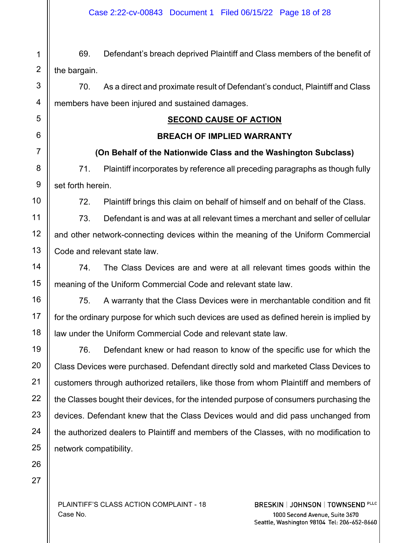69. Defendant's breach deprived Plaintiff and Class members of the benefit of the bargain.

70. As a direct and proximate result of Defendant's conduct, Plaintiff and Class members have been injured and sustained damages.

## **SECOND CAUSE OF ACTION**

# **BREACH OF IMPLIED WARRANTY**

# **(On Behalf of the Nationwide Class and the Washington Subclass)**

71. Plaintiff incorporates by reference all preceding paragraphs as though fully set forth herein.

72. Plaintiff brings this claim on behalf of himself and on behalf of the Class.

73. Defendant is and was at all relevant times a merchant and seller of cellular and other network-connecting devices within the meaning of the Uniform Commercial Code and relevant state law.

74. The Class Devices are and were at all relevant times goods within the meaning of the Uniform Commercial Code and relevant state law.

75. A warranty that the Class Devices were in merchantable condition and fit for the ordinary purpose for which such devices are used as defined herein is implied by law under the Uniform Commercial Code and relevant state law.

76. Defendant knew or had reason to know of the specific use for which the Class Devices were purchased. Defendant directly sold and marketed Class Devices to customers through authorized retailers, like those from whom Plaintiff and members of the Classes bought their devices, for the intended purpose of consumers purchasing the devices. Defendant knew that the Class Devices would and did pass unchanged from the authorized dealers to Plaintiff and members of the Classes, with no modification to network compatibility.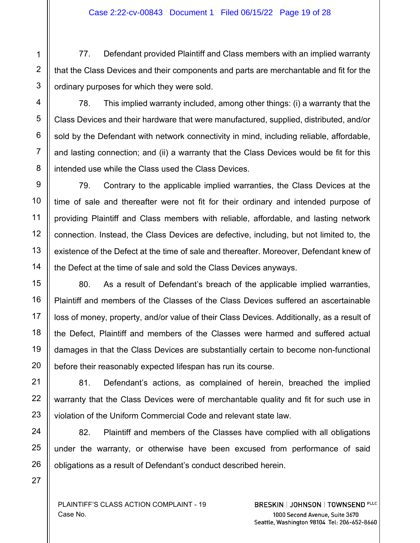#### Case 2:22-cv-00843 Document 1 Filed 06/15/22 Page 19 of 28

77. Defendant provided Plaintiff and Class members with an implied warranty that the Class Devices and their components and parts are merchantable and fit for the ordinary purposes for which they were sold.

78. This implied warranty included, among other things: (i) a warranty that the Class Devices and their hardware that were manufactured, supplied, distributed, and/or sold by the Defendant with network connectivity in mind, including reliable, affordable, and lasting connection; and (ii) a warranty that the Class Devices would be fit for this intended use while the Class used the Class Devices.

79. Contrary to the applicable implied warranties, the Class Devices at the time of sale and thereafter were not fit for their ordinary and intended purpose of providing Plaintiff and Class members with reliable, affordable, and lasting network connection. Instead, the Class Devices are defective, including, but not limited to, the existence of the Defect at the time of sale and thereafter. Moreover, Defendant knew of the Defect at the time of sale and sold the Class Devices anyways.

80. As a result of Defendant's breach of the applicable implied warranties, Plaintiff and members of the Classes of the Class Devices suffered an ascertainable loss of money, property, and/or value of their Class Devices. Additionally, as a result of the Defect, Plaintiff and members of the Classes were harmed and suffered actual damages in that the Class Devices are substantially certain to become non-functional before their reasonably expected lifespan has run its course.

81. Defendant's actions, as complained of herein, breached the implied warranty that the Class Devices were of merchantable quality and fit for such use in violation of the Uniform Commercial Code and relevant state law.

82. Plaintiff and members of the Classes have complied with all obligations under the warranty, or otherwise have been excused from performance of said obligations as a result of Defendant's conduct described herein.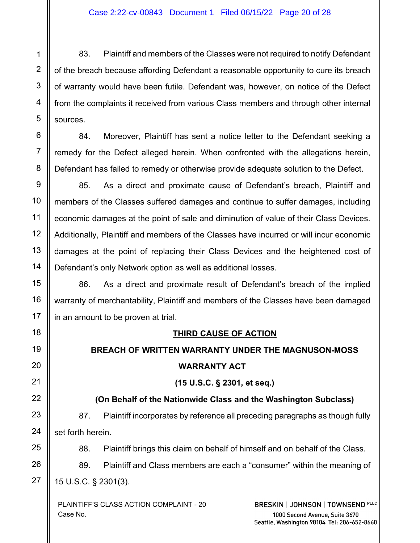83. Plaintiff and members of the Classes were not required to notify Defendant of the breach because affording Defendant a reasonable opportunity to cure its breach of warranty would have been futile. Defendant was, however, on notice of the Defect from the complaints it received from various Class members and through other internal sources.

84. Moreover, Plaintiff has sent a notice letter to the Defendant seeking a remedy for the Defect alleged herein. When confronted with the allegations herein, Defendant has failed to remedy or otherwise provide adequate solution to the Defect.

85. As a direct and proximate cause of Defendant's breach, Plaintiff and members of the Classes suffered damages and continue to suffer damages, including economic damages at the point of sale and diminution of value of their Class Devices. Additionally, Plaintiff and members of the Classes have incurred or will incur economic damages at the point of replacing their Class Devices and the heightened cost of Defendant's only Network option as well as additional losses.

86. As a direct and proximate result of Defendant's breach of the implied warranty of merchantability, Plaintiff and members of the Classes have been damaged in an amount to be proven at trial.

# **THIRD CAUSE OF ACTION**

# **BREACH OF WRITTEN WARRANTY UNDER THE MAGNUSON-MOSS WARRANTY ACT**

# **(15 U.S.C. § 2301, et seq.)**

# **(On Behalf of the Nationwide Class and the Washington Subclass)**

87. Plaintiff incorporates by reference all preceding paragraphs as though fully set forth herein.

88. Plaintiff brings this claim on behalf of himself and on behalf of the Class.

89. Plaintiff and Class members are each a "consumer" within the meaning of 15 U.S.C. § 2301(3).

PLAINTIFF'S CLASS ACTION COMPLAINT - 20 Case No.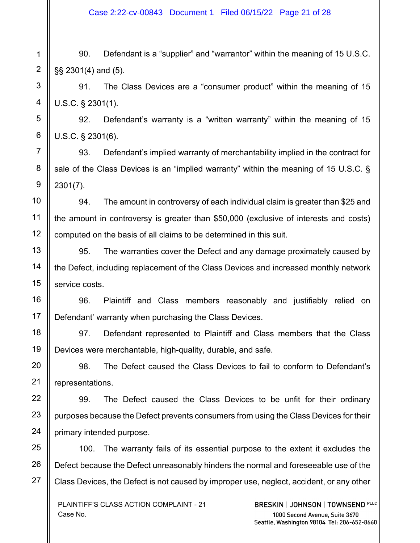90. Defendant is a "supplier" and "warrantor" within the meaning of 15 U.S.C. §§ 2301(4) and (5).

91. The Class Devices are a "consumer product" within the meaning of 15 U.S.C. § 2301(1).

92. Defendant's warranty is a "written warranty" within the meaning of 15 U.S.C. § 2301(6).

93. Defendant's implied warranty of merchantability implied in the contract for sale of the Class Devices is an "implied warranty" within the meaning of 15 U.S.C. § 2301(7).

94. The amount in controversy of each individual claim is greater than \$25 and the amount in controversy is greater than \$50,000 (exclusive of interests and costs) computed on the basis of all claims to be determined in this suit.

95. The warranties cover the Defect and any damage proximately caused by the Defect, including replacement of the Class Devices and increased monthly network service costs.

96. Plaintiff and Class members reasonably and justifiably relied on Defendant' warranty when purchasing the Class Devices.

97. Defendant represented to Plaintiff and Class members that the Class Devices were merchantable, high-quality, durable, and safe.

98. The Defect caused the Class Devices to fail to conform to Defendant's representations.

99. The Defect caused the Class Devices to be unfit for their ordinary purposes because the Defect prevents consumers from using the Class Devices for their primary intended purpose.

100. The warranty fails of its essential purpose to the extent it excludes the Defect because the Defect unreasonably hinders the normal and foreseeable use of the Class Devices, the Defect is not caused by improper use, neglect, accident, or any other

PLAINTIFF'S CLASS ACTION COMPLAINT - 21 Case No.

1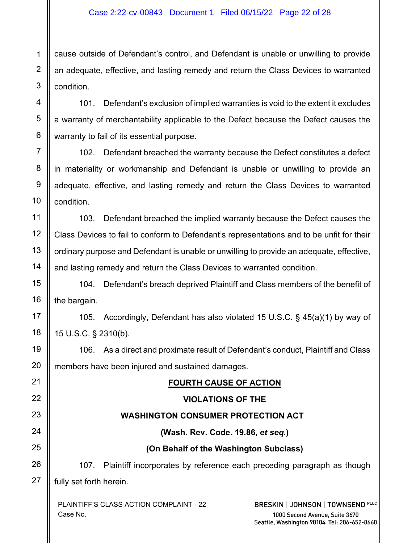cause outside of Defendant's control, and Defendant is unable or unwilling to provide an adequate, effective, and lasting remedy and return the Class Devices to warranted condition.

101. Defendant's exclusion of implied warranties is void to the extent it excludes a warranty of merchantability applicable to the Defect because the Defect causes the warranty to fail of its essential purpose.

102. Defendant breached the warranty because the Defect constitutes a defect in materiality or workmanship and Defendant is unable or unwilling to provide an adequate, effective, and lasting remedy and return the Class Devices to warranted condition.

103. Defendant breached the implied warranty because the Defect causes the Class Devices to fail to conform to Defendant's representations and to be unfit for their ordinary purpose and Defendant is unable or unwilling to provide an adequate, effective, and lasting remedy and return the Class Devices to warranted condition.

104. Defendant's breach deprived Plaintiff and Class members of the benefit of the bargain.

105. Accordingly, Defendant has also violated 15 U.S.C. § 45(a)(1) by way of 15 U.S.C. § 2310(b).

106. As a direct and proximate result of Defendant's conduct, Plaintiff and Class members have been injured and sustained damages.

# **FOURTH CAUSE OF ACTION VIOLATIONS OF THE WASHINGTON CONSUMER PROTECTION ACT (Wash. Rev. Code. 19.86,** *et seq***.) (On Behalf of the Washington Subclass)** 107. Plaintiff incorporates by reference each preceding paragraph as though fully set forth herein.

PLAINTIFF'S CLASS ACTION COMPLAINT - 22 Case No.

1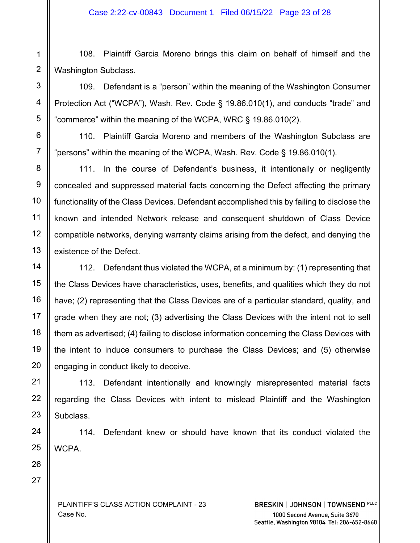108. Plaintiff Garcia Moreno brings this claim on behalf of himself and the Washington Subclass.

109. Defendant is a "person" within the meaning of the Washington Consumer Protection Act ("WCPA"), Wash. Rev. Code § 19.86.010(1), and conducts "trade" and "commerce" within the meaning of the WCPA, WRC § 19.86.010(2).

110. Plaintiff Garcia Moreno and members of the Washington Subclass are "persons" within the meaning of the WCPA, Wash. Rev. Code § 19.86.010(1).

111. In the course of Defendant's business, it intentionally or negligently concealed and suppressed material facts concerning the Defect affecting the primary functionality of the Class Devices. Defendant accomplished this by failing to disclose the known and intended Network release and consequent shutdown of Class Device compatible networks, denying warranty claims arising from the defect, and denying the existence of the Defect.

112. Defendant thus violated the WCPA, at a minimum by: (1) representing that the Class Devices have characteristics, uses, benefits, and qualities which they do not have; (2) representing that the Class Devices are of a particular standard, quality, and grade when they are not; (3) advertising the Class Devices with the intent not to sell them as advertised; (4) failing to disclose information concerning the Class Devices with the intent to induce consumers to purchase the Class Devices; and (5) otherwise engaging in conduct likely to deceive.

113. Defendant intentionally and knowingly misrepresented material facts regarding the Class Devices with intent to mislead Plaintiff and the Washington Subclass.

114. Defendant knew or should have known that its conduct violated the WCPA.

27

PLAINTIFF'S CLASS ACTION COMPLAINT - 23 Case No.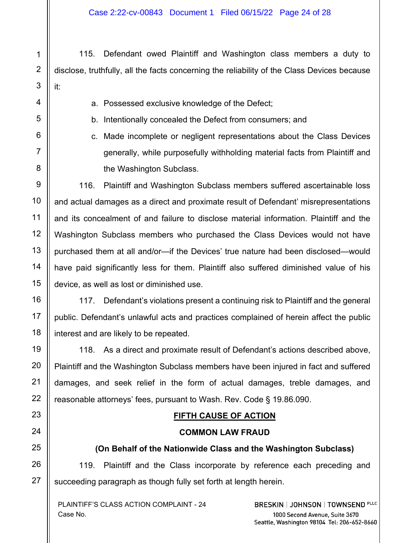#### Case 2:22-cv-00843 Document 1 Filed 06/15/22 Page 24 of 28

115. Defendant owed Plaintiff and Washington class members a duty to disclose, truthfully, all the facts concerning the reliability of the Class Devices because it:

- a. Possessed exclusive knowledge of the Defect;
- b. Intentionally concealed the Defect from consumers; and
- c. Made incomplete or negligent representations about the Class Devices generally, while purposefully withholding material facts from Plaintiff and the Washington Subclass.

116. Plaintiff and Washington Subclass members suffered ascertainable loss and actual damages as a direct and proximate result of Defendant' misrepresentations and its concealment of and failure to disclose material information. Plaintiff and the Washington Subclass members who purchased the Class Devices would not have purchased them at all and/or—if the Devices' true nature had been disclosed—would have paid significantly less for them. Plaintiff also suffered diminished value of his device, as well as lost or diminished use.

117. Defendant's violations present a continuing risk to Plaintiff and the general public. Defendant's unlawful acts and practices complained of herein affect the public interest and are likely to be repeated.

118. As a direct and proximate result of Defendant's actions described above, Plaintiff and the Washington Subclass members have been injured in fact and suffered damages, and seek relief in the form of actual damages, treble damages, and reasonable attorneys' fees, pursuant to Wash. Rev. Code § 19.86.090.

#### **FIFTH CAUSE OF ACTION**

#### **COMMON LAW FRAUD**

#### **(On Behalf of the Nationwide Class and the Washington Subclass)**

119. Plaintiff and the Class incorporate by reference each preceding and succeeding paragraph as though fully set forth at length herein.

PLAINTIFF'S CLASS ACTION COMPLAINT - 24 Case No.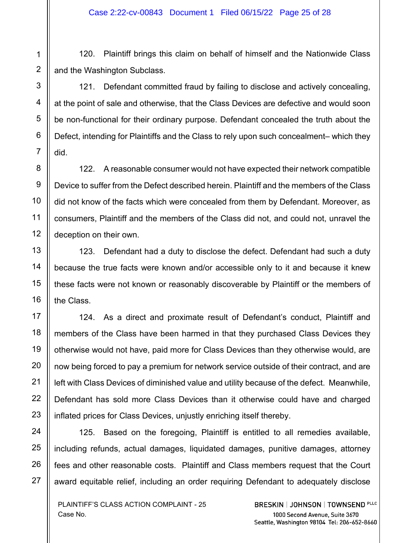120. Plaintiff brings this claim on behalf of himself and the Nationwide Class and the Washington Subclass.

121. Defendant committed fraud by failing to disclose and actively concealing, at the point of sale and otherwise, that the Class Devices are defective and would soon be non-functional for their ordinary purpose. Defendant concealed the truth about the Defect, intending for Plaintiffs and the Class to rely upon such concealment– which they did.

122. A reasonable consumer would not have expected their network compatible Device to suffer from the Defect described herein. Plaintiff and the members of the Class did not know of the facts which were concealed from them by Defendant. Moreover, as consumers, Plaintiff and the members of the Class did not, and could not, unravel the deception on their own.

123. Defendant had a duty to disclose the defect. Defendant had such a duty because the true facts were known and/or accessible only to it and because it knew these facts were not known or reasonably discoverable by Plaintiff or the members of the Class.

124. As a direct and proximate result of Defendant's conduct, Plaintiff and members of the Class have been harmed in that they purchased Class Devices they otherwise would not have, paid more for Class Devices than they otherwise would, are now being forced to pay a premium for network service outside of their contract, and are left with Class Devices of diminished value and utility because of the defect. Meanwhile, Defendant has sold more Class Devices than it otherwise could have and charged inflated prices for Class Devices, unjustly enriching itself thereby.

125. Based on the foregoing, Plaintiff is entitled to all remedies available, including refunds, actual damages, liquidated damages, punitive damages, attorney fees and other reasonable costs. Plaintiff and Class members request that the Court award equitable relief, including an order requiring Defendant to adequately disclose

PLAINTIFF'S CLASS ACTION COMPLAINT - 25 Case No.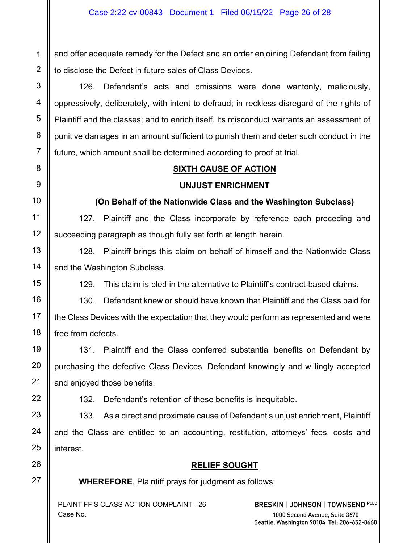and offer adequate remedy for the Defect and an order enjoining Defendant from failing to disclose the Defect in future sales of Class Devices.

126. Defendant's acts and omissions were done wantonly, maliciously, oppressively, deliberately, with intent to defraud; in reckless disregard of the rights of Plaintiff and the classes; and to enrich itself. Its misconduct warrants an assessment of punitive damages in an amount sufficient to punish them and deter such conduct in the future, which amount shall be determined according to proof at trial.

## **SIXTH CAUSE OF ACTION**

#### **UNJUST ENRICHMENT**

**(On Behalf of the Nationwide Class and the Washington Subclass)**

127. Plaintiff and the Class incorporate by reference each preceding and succeeding paragraph as though fully set forth at length herein.

128. Plaintiff brings this claim on behalf of himself and the Nationwide Class and the Washington Subclass.

129. This claim is pled in the alternative to Plaintiff's contract-based claims.

130. Defendant knew or should have known that Plaintiff and the Class paid for the Class Devices with the expectation that they would perform as represented and were free from defects.

131. Plaintiff and the Class conferred substantial benefits on Defendant by purchasing the defective Class Devices. Defendant knowingly and willingly accepted and enjoyed those benefits.

132. Defendant's retention of these benefits is inequitable.

133. As a direct and proximate cause of Defendant's unjust enrichment, Plaintiff and the Class are entitled to an accounting, restitution, attorneys' fees, costs and interest.

# **RELIEF SOUGHT**

**WHEREFORE**, Plaintiff prays for judgment as follows:

PLAINTIFF'S CLASS ACTION COMPLAINT - 26 Case No.

BRESKIN | JOHNSON | TOWNSEND PLLC 1000 Second Avenue. Suite 3670 Seattle, Washington 98104 Tel: 206-652-8660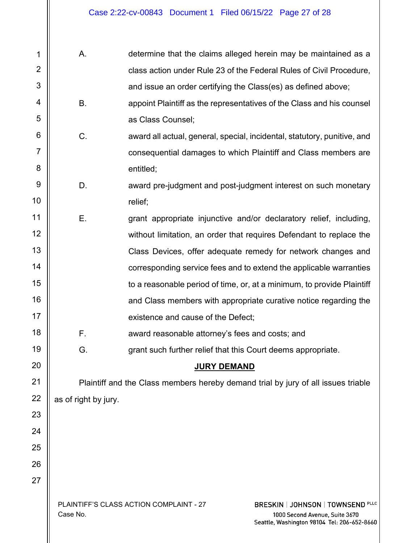| 1              | А.                   | determine that the claims alleged herein may be maintained as a                                                                                                      |
|----------------|----------------------|----------------------------------------------------------------------------------------------------------------------------------------------------------------------|
| $\overline{2}$ |                      | class action under Rule 23 of the Federal Rules of Civil Procedure,                                                                                                  |
| 3              |                      | and issue an order certifying the Class(es) as defined above;                                                                                                        |
| 4              | В.                   | appoint Plaintiff as the representatives of the Class and his counsel                                                                                                |
| 5              |                      | as Class Counsel;                                                                                                                                                    |
| 6              | C.                   | award all actual, general, special, incidental, statutory, punitive, and                                                                                             |
| 7              |                      | consequential damages to which Plaintiff and Class members are                                                                                                       |
| 8              |                      | entitled;                                                                                                                                                            |
| 9              | D.                   | award pre-judgment and post-judgment interest on such monetary                                                                                                       |
| 10             |                      | relief;                                                                                                                                                              |
| 11             | Е.                   | grant appropriate injunctive and/or declaratory relief, including,                                                                                                   |
| 12             |                      | without limitation, an order that requires Defendant to replace the                                                                                                  |
| 13             |                      | Class Devices, offer adequate remedy for network changes and                                                                                                         |
| 14             |                      | corresponding service fees and to extend the applicable warranties                                                                                                   |
| 15             |                      | to a reasonable period of time, or, at a minimum, to provide Plaintiff                                                                                               |
| 16             |                      | and Class members with appropriate curative notice regarding the                                                                                                     |
| 17             |                      | existence and cause of the Defect;                                                                                                                                   |
| 18             | F.                   | award reasonable attorney's fees and costs; and                                                                                                                      |
| 19             | G.                   | grant such further relief that this Court deems appropriate.                                                                                                         |
| 20             |                      | <b>JURY DEMAND</b>                                                                                                                                                   |
| 21             |                      | Plaintiff and the Class members hereby demand trial by jury of all issues triable                                                                                    |
| 22             | as of right by jury. |                                                                                                                                                                      |
| 23             |                      |                                                                                                                                                                      |
| 24             |                      |                                                                                                                                                                      |
| 25             |                      |                                                                                                                                                                      |
| 26             |                      |                                                                                                                                                                      |
| 27             |                      |                                                                                                                                                                      |
|                | Case No.             | PLAINTIFF'S CLASS ACTION COMPLAINT - 27<br><b>BRESKIN   JOHNSON   TOWNSEND PLLC</b><br>1000 Second Avenue, Suite 3670<br>Seattle, Washington 98104 Tel: 206-652-8660 |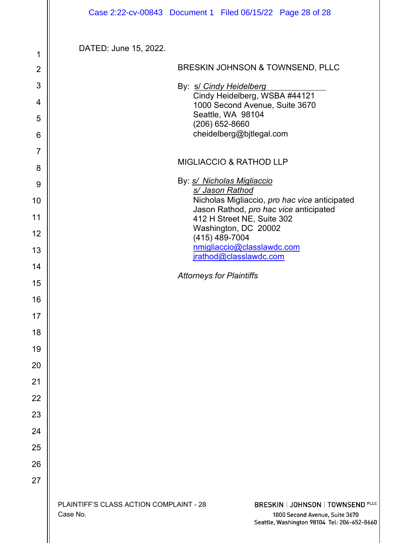|                | Case 2:22-cv-00843 Document 1 Filed 06/15/22 Page 28 of 28                                                                                                                       |
|----------------|----------------------------------------------------------------------------------------------------------------------------------------------------------------------------------|
| 1              | DATED: June 15, 2022.                                                                                                                                                            |
| $\overline{2}$ | BRESKIN JOHNSON & TOWNSEND, PLLC                                                                                                                                                 |
| 3              | By: s/ Cindy Heidelberg                                                                                                                                                          |
| 4              | Cindy Heidelberg, WSBA #44121<br>1000 Second Avenue, Suite 3670                                                                                                                  |
| 5              | Seattle, WA 98104<br>$(206)$ 652-8660                                                                                                                                            |
| 6              | cheidelberg@bjtlegal.com                                                                                                                                                         |
| 7              |                                                                                                                                                                                  |
| 8              | <b>MIGLIACCIO &amp; RATHOD LLP</b>                                                                                                                                               |
| 9              | By: s/ Nicholas Migliaccio<br>s/ Jason Rathod                                                                                                                                    |
| 10             | Nicholas Migliaccio, pro hac vice anticipated                                                                                                                                    |
| 11             | Jason Rathod, pro hac vice anticipated<br>412 H Street NE, Suite 302                                                                                                             |
| 12             | Washington, DC 20002<br>(415) 489-7004                                                                                                                                           |
| 13             | nmigliaccio@classlawdc.com<br>jrathod@classlawdc.com                                                                                                                             |
| 14             |                                                                                                                                                                                  |
| 15             | <b>Attorneys for Plaintiffs</b>                                                                                                                                                  |
| 16             |                                                                                                                                                                                  |
| 17             |                                                                                                                                                                                  |
| 18             |                                                                                                                                                                                  |
| 19             |                                                                                                                                                                                  |
| 20             |                                                                                                                                                                                  |
| 21             |                                                                                                                                                                                  |
| 22             |                                                                                                                                                                                  |
| 23             |                                                                                                                                                                                  |
| 24             |                                                                                                                                                                                  |
| 25             |                                                                                                                                                                                  |
| 26             |                                                                                                                                                                                  |
| 27             |                                                                                                                                                                                  |
|                | PLAINTIFF'S CLASS ACTION COMPLAINT - 28<br><b>BRESKIN   JOHNSON   TOWNSEND PLLC</b><br>Case No.<br>1000 Second Avenue, Suite 3670<br>Seattle, Washington 98104 Tel: 206-652-8660 |